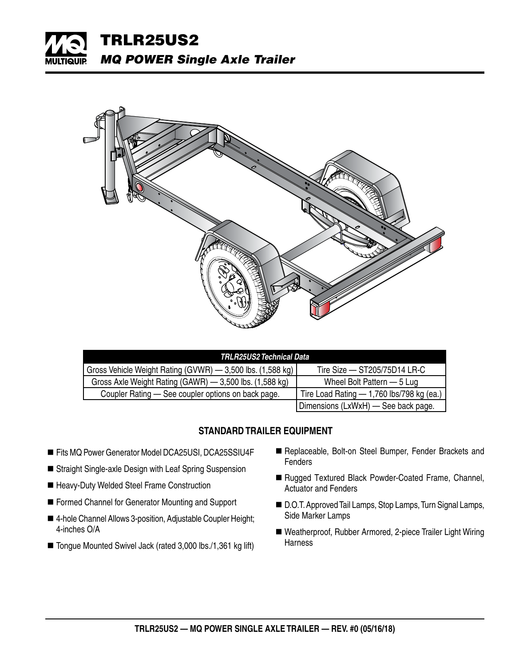



| TRLR25US2 Technical Data                                   |                                             |  |  |  |  |  |  |  |
|------------------------------------------------------------|---------------------------------------------|--|--|--|--|--|--|--|
| Gross Vehicle Weight Rating (GVWR) - 3,500 lbs. (1,588 kg) | Tire Size $-$ ST205/75D14 LR-C              |  |  |  |  |  |  |  |
| Gross Axle Weight Rating (GAWR) - 3,500 lbs. (1,588 kg)    | Wheel Bolt Pattern – 5 Lug                  |  |  |  |  |  |  |  |
| Coupler Rating — See coupler options on back page.         | Tire Load Rating $-$ 1,760 lbs/798 kg (ea.) |  |  |  |  |  |  |  |
|                                                            | Dimensions (LxWxH) — See back page.         |  |  |  |  |  |  |  |

## **STANDARD TRAILER EQUIPMENT**

- Fits MQ Power Generator Model DCA25USI, DCA25SSIU4F
- Straight Single-axle Design with Leaf Spring Suspension
- Heavy-Duty Welded Steel Frame Construction
- Formed Channel for Generator Mounting and Support
- 4-hole Channel Allows 3-position, Adjustable Coupler Height; 4-inches O/A
- Tongue Mounted Swivel Jack (rated 3,000 lbs./1,361 kg lift)
- Replaceable, Bolt-on Steel Bumper, Fender Brackets and **Fenders**
- Rugged Textured Black Powder-Coated Frame, Channel, Actuator and Fenders
- D.O.T. Approved Tail Lamps, Stop Lamps, Turn Signal Lamps, Side Marker Lamps
- Weatherproof, Rubber Armored, 2-piece Trailer Light Wiring **Harness**